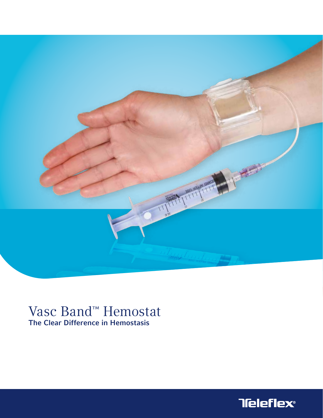

# Vasc Band<sup>™</sup> Hemostat<br>The Clear Difference in Hemostasis

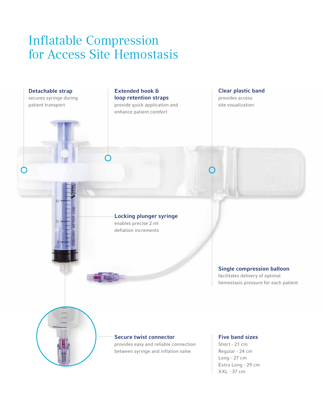## Inflatable Compression for Access Site Hemostasis



Long - 27 cm Extra Long - 29 cm  $\frac{1}{2}$  XXL - 37 cm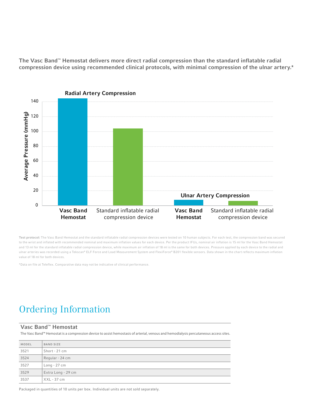The Vasc Band™ Hemostat delivers more direct radial compression than the standard inflatable radial compression device using recommended clinical protocols, with minimal compression of the ulnar artery.\*



Test protocol: The Vasc Band Hemostat and the standard inflatable radial compression devices were tested on 10 human subjects. For each test, the compression band was secured to the wrist and inflated with recommended nominal and maximum inflation values for each device. Per the product IFUs, nominal air inflation is 15 ml for the Vasc Band Hemostat and 13 ml for the standard inflatable radial compression device, while maximum air inflation of 18 ml is the same for both devices. Pressure applied by each device to the radial and ulnar arteries was recorded using a Tekscan® ELF Force and Load Measurement System and FlexiForce® B201 flexible sensors. Data shown in the chart reflects maximum inflation value of 18 ml for both devices.

\*Data on file at Teleflex. Comparative data may not be indicative of clinical performance.

### Ordering Information

#### Vasc Band™ Hemostat

The Vasc Band™ Hemostat is a compression device to assist hemostasis of arterial, venous and hemodialysis percutaneous access sites.

| MODEL | <b>BAND SIZE</b>   |  |
|-------|--------------------|--|
| 3521  | Short - 21 cm      |  |
| 3524  | Regular - 24 cm    |  |
| 3527  | $Long - 27 cm$     |  |
| 3529  | Extra Long - 29 cm |  |
| 3537  | $XXL - 37$ cm      |  |

Packaged in quantities of 10 units per box. Individual units are not sold separately.